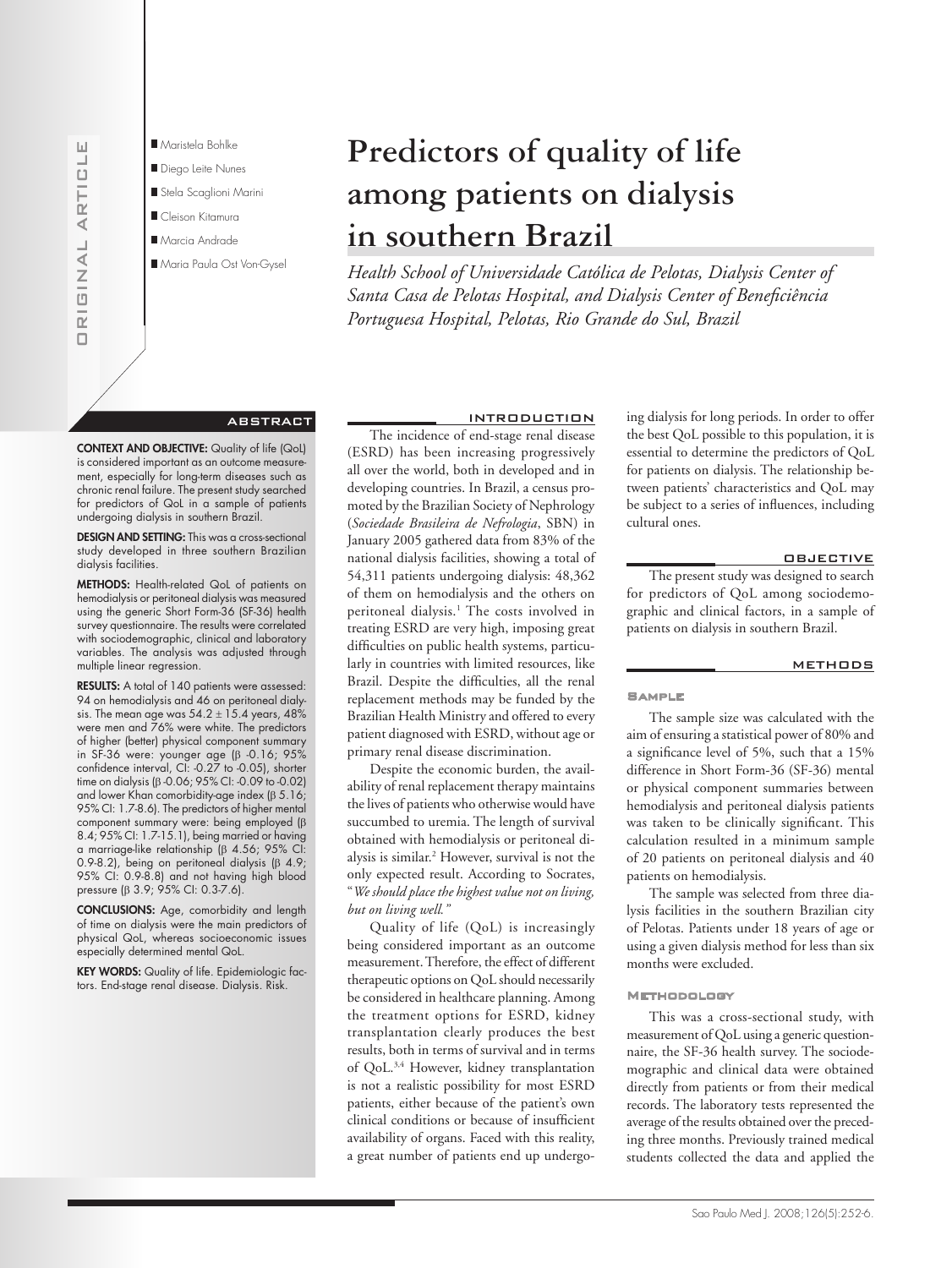

# ABSTRACT

CONTEXT AND OBJECTIVE: Quality of life (QoL) is considered important as an outcome measurement, especially for long-term diseases such as chronic renal failure. The present study searched for predictors of QoL in a sample of patients undergoing dialysis in southern Brazil.

DESIGN AND SETTING: This was a cross-sectional study developed in three southern Brazilian dialysis facilities.

METHODS: Health-related QoL of patients on hemodialysis or peritoneal dialysis was measured using the generic Short Form-36 (SF-36) health survey questionnaire. The results were correlated with sociodemographic, clinical and laboratory variables. The analysis was adjusted through multiple linear regression.

RESULTS: A total of 140 patients were assessed: 94 on hemodialysis and 46 on peritoneal dialysis. The mean age was  $54.2 \pm 15.4$  years,  $48\%$ were men and 76% were white. The predictors of higher (better) physical component summary in SF-36 were: younger age (β -0.16; 95% confidence interval, CI: -0.27 to -0.05), shorter time on dialysis (β -0.06; 95% CI: -0.09 to -0.02) and lower Khan comorbidity-age index (β 5.16; 95% CI: 1.7-8.6). The predictors of higher mental component summary were: being employed (β 8.4; 95% CI: 1.7-15.1), being married or having a marriage-like relationship (β 4.56; 95% CI: 0.9-8.2), being on peritoneal dialysis (β 4.9; 95% CI: 0.9-8.8) and not having high blood pressure (β 3.9; 95% CI: 0.3-7.6).

CONCLUSIONS: Age, comorbidity and length of time on dialysis were the main predictors of physical QoL, whereas socioeconomic issues especially determined mental QoL.

KEY WORDS: Quality of life. Epidemiologic factors. End-stage renal disease. Dialysis. Risk.

INTRODUCTION The incidence of end-stage renal disease (ESRD) has been increasing progressively all over the world, both in developed and in developing countries. In Brazil, a census promoted by the Brazilian Society of Nephrology (*Sociedade Brasileira de Nefrologia*, SBN) in January 2005 gathered data from 83% of the national dialysis facilities, showing a total of 54,311 patients undergoing dialysis: 48,362 of them on hemodialysis and the others on peritoneal dialysis.<sup>1</sup> The costs involved in treating ESRD are very high, imposing great difficulties on public health systems, particularly in countries with limited resources, like Brazil. Despite the difficulties, all the renal replacement methods may be funded by the Brazilian Health Ministry and offered to every patient diagnosed with ESRD, without age or primary renal disease discrimination.

**Predictors of quality of life** 

**among patients on dialysis** 

*Portuguesa Hospital, Pelotas, Rio Grande do Sul, Brazil*

*Health School of Universidade Católica de Pelotas, Dialysis Center of*  Santa Casa de Pelotas Hospital, and Dialysis Center of Beneficiência

**in southern Brazil**

Despite the economic burden, the availability of renal replacement therapy maintains the lives of patients who otherwise would have succumbed to uremia. The length of survival obtained with hemodialysis or peritoneal dialysis is similar.2 However, survival is not the only expected result. According to Socrates, "*We should place the highest value not on living, but on living well."* 

Quality of life (QoL) is increasingly being considered important as an outcome measurement. Therefore, the effect of different therapeutic options on QoL should necessarily be considered in healthcare planning. Among the treatment options for ESRD, kidney transplantation clearly produces the best results, both in terms of survival and in terms of QoL.3,4 However, kidney transplantation is not a realistic possibility for most ESRD patients, either because of the patient's own clinical conditions or because of insufficient availability of organs. Faced with this reality, a great number of patients end up undergoing dialysis for long periods. In order to offer the best QoL possible to this population, it is essential to determine the predictors of QoL for patients on dialysis. The relationship between patients' characteristics and QoL may be subject to a series of influences, including cultural ones.

# OBJECTIVE

The present study was designed to search for predictors of QoL among sociodemographic and clinical factors, in a sample of patients on dialysis in southern Brazil.

#### **METHODS**

#### **SAMPLE**

The sample size was calculated with the aim of ensuring a statistical power of 80% and a significance level of 5%, such that a 15% difference in Short Form-36 (SF-36) mental or physical component summaries between hemodialysis and peritoneal dialysis patients was taken to be clinically significant. This calculation resulted in a minimum sample of 20 patients on peritoneal dialysis and 40 patients on hemodialysis.

The sample was selected from three dialysis facilities in the southern Brazilian city of Pelotas. Patients under 18 years of age or using a given dialysis method for less than six months were excluded.

### Methodology

This was a cross-sectional study, with measurement of QoL using a generic questionnaire, the SF-36 health survey. The sociodemographic and clinical data were obtained directly from patients or from their medical records. The laboratory tests represented the average of the results obtained over the preceding three months. Previously trained medical students collected the data and applied the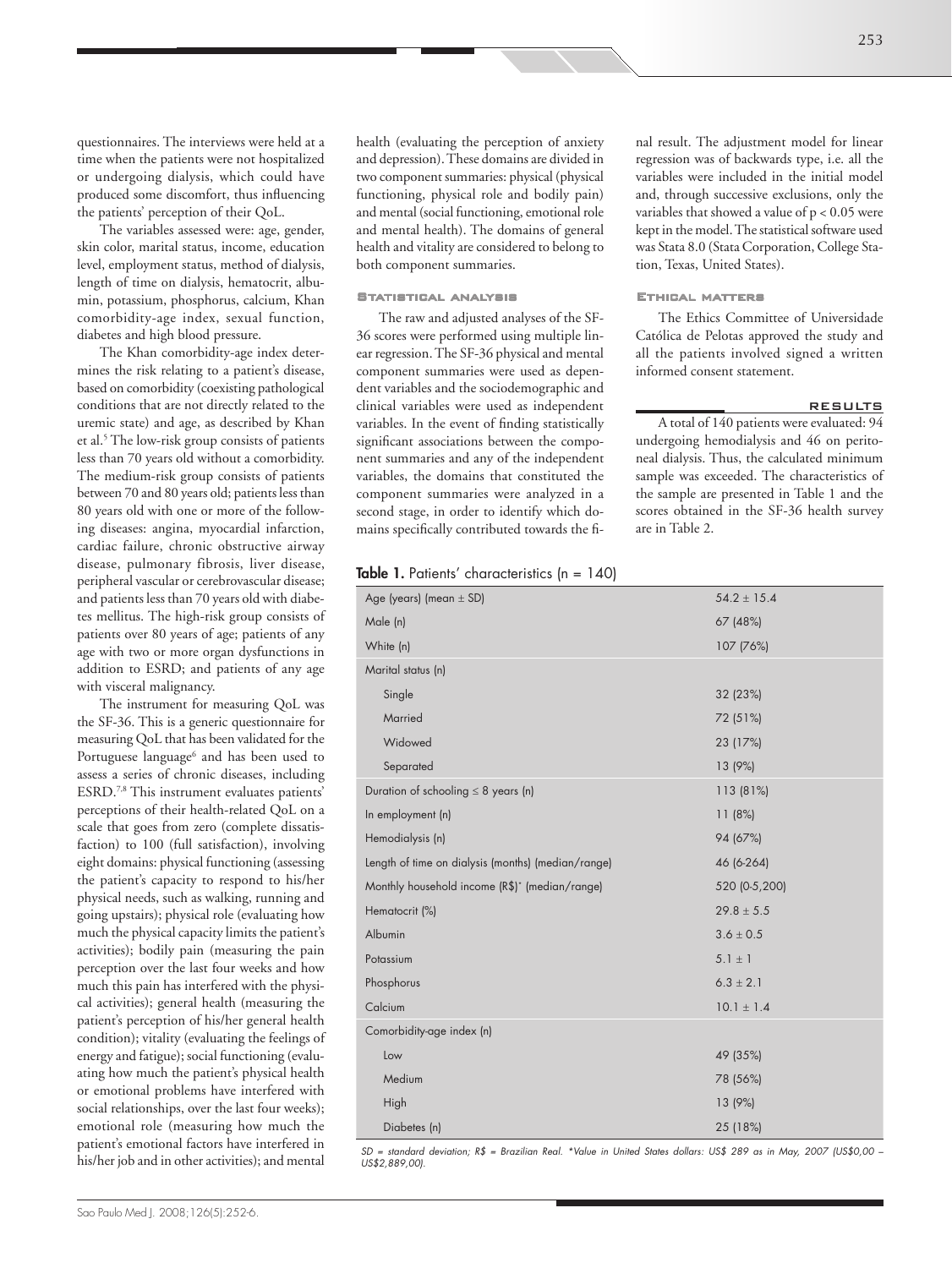questionnaires. The interviews were held at a time when the patients were not hospitalized or undergoing dialysis, which could have produced some discomfort, thus influencing the patients' perception of their QoL.

The variables assessed were: age, gender, skin color, marital status, income, education level, employment status, method of dialysis, length of time on dialysis, hematocrit, albumin, potassium, phosphorus, calcium, Khan comorbidity-age index, sexual function, diabetes and high blood pressure.

The Khan comorbidity-age index determines the risk relating to a patient's disease, based on comorbidity (coexisting pathological conditions that are not directly related to the uremic state) and age, as described by Khan et al.5 The low-risk group consists of patients less than 70 years old without a comorbidity. The medium-risk group consists of patients between 70 and 80 years old; patients less than 80 years old with one or more of the following diseases: angina, myocardial infarction, cardiac failure, chronic obstructive airway disease, pulmonary fibrosis, liver disease, peripheral vascular or cerebrovascular disease; and patients less than 70 years old with diabetes mellitus. The high-risk group consists of patients over 80 years of age; patients of any age with two or more organ dysfunctions in addition to ESRD; and patients of any age with visceral malignancy.

The instrument for measuring QoL was the SF-36. This is a generic questionnaire for measuring QoL that has been validated for the Portuguese language<sup>6</sup> and has been used to assess a series of chronic diseases, including ESRD.7,8 This instrument evaluates patients' perceptions of their health-related QoL on a scale that goes from zero (complete dissatisfaction) to 100 (full satisfaction), involving eight domains: physical functioning (assessing the patient's capacity to respond to his/her physical needs, such as walking, running and going upstairs); physical role (evaluating how much the physical capacity limits the patient's activities); bodily pain (measuring the pain perception over the last four weeks and how much this pain has interfered with the physical activities); general health (measuring the patient's perception of his/her general health condition); vitality (evaluating the feelings of energy and fatigue); social functioning (evaluating how much the patient's physical health or emotional problems have interfered with social relationships, over the last four weeks); emotional role (measuring how much the patient's emotional factors have interfered in his/her job and in other activities); and mental

health (evaluating the perception of anxiety and depression). These domains are divided in two component summaries: physical (physical functioning, physical role and bodily pain) and mental (social functioning, emotional role and mental health). The domains of general health and vitality are considered to belong to both component summaries.

# Statistical analysis

The raw and adjusted analyses of the SF-36 scores were performed using multiple linear regression. The SF-36 physical and mental component summaries were used as dependent variables and the sociodemographic and clinical variables were used as independent variables. In the event of finding statistically significant associations between the component summaries and any of the independent variables, the domains that constituted the component summaries were analyzed in a second stage, in order to identify which domains specifically contributed towards the fi-

# Table 1. Patients' characteristics (n = 140)

| Age (years) (mean $\pm$ SD)                                | $54.2 \pm 15.4$ |
|------------------------------------------------------------|-----------------|
| Male (n)                                                   | 67 (48%)        |
| White (n)                                                  | 107 (76%)       |
| Marital status (n)                                         |                 |
| Single                                                     | 32 (23%)        |
| Married                                                    | 72 (51%)        |
| Widowed                                                    | 23 (17%)        |
| Separated                                                  | 13 (9%)         |
| Duration of schooling $\leq 8$ years (n)                   | 113 (81%)       |
| In employment (n)                                          | 11(8%)          |
| Hemodialysis (n)                                           | 94 (67%)        |
| Length of time on dialysis (months) (median/range)         | 46 (6-264)      |
| Monthly household income (R\$) <sup>*</sup> (median/range) | 520 (0-5,200)   |
| Hematocrit (%)                                             | $29.8 \pm 5.5$  |
| Albumin                                                    | $3.6 \pm 0.5$   |
| Potassium                                                  | $5.1 \pm 1$     |
| Phosphorus                                                 | $6.3 \pm 2.1$   |
| Calcium                                                    | $10.1 \pm 1.4$  |
| Comorbidity-age index (n)                                  |                 |
| Low                                                        | 49 (35%)        |
| Medium                                                     | 78 (56%)        |
| High                                                       | 13 (9%)         |
| Diabetes (n)                                               | 25 (18%)        |

*SD = standard deviation; R\$ = Brazilian Real. \*Value in United States dollars: US\$ 289 as in May, 2007 (US\$0,00 – US\$2,889,00).* 

nal result. The adjustment model for linear regression was of backwards type, i.e. all the variables were included in the initial model and, through successive exclusions, only the variables that showed a value of p < 0.05 were kept in the model. The statistical software used was Stata 8.0 (Stata Corporation, College Station, Texas, United States).

#### Ethical matters

The Ethics Committee of Universidade Católica de Pelotas approved the study and all the patients involved signed a written informed consent statement.

### RESULTS

A total of 140 patients were evaluated: 94 undergoing hemodialysis and 46 on peritoneal dialysis. Thus, the calculated minimum sample was exceeded. The characteristics of the sample are presented in Table 1 and the scores obtained in the SF-36 health survey are in Table 2.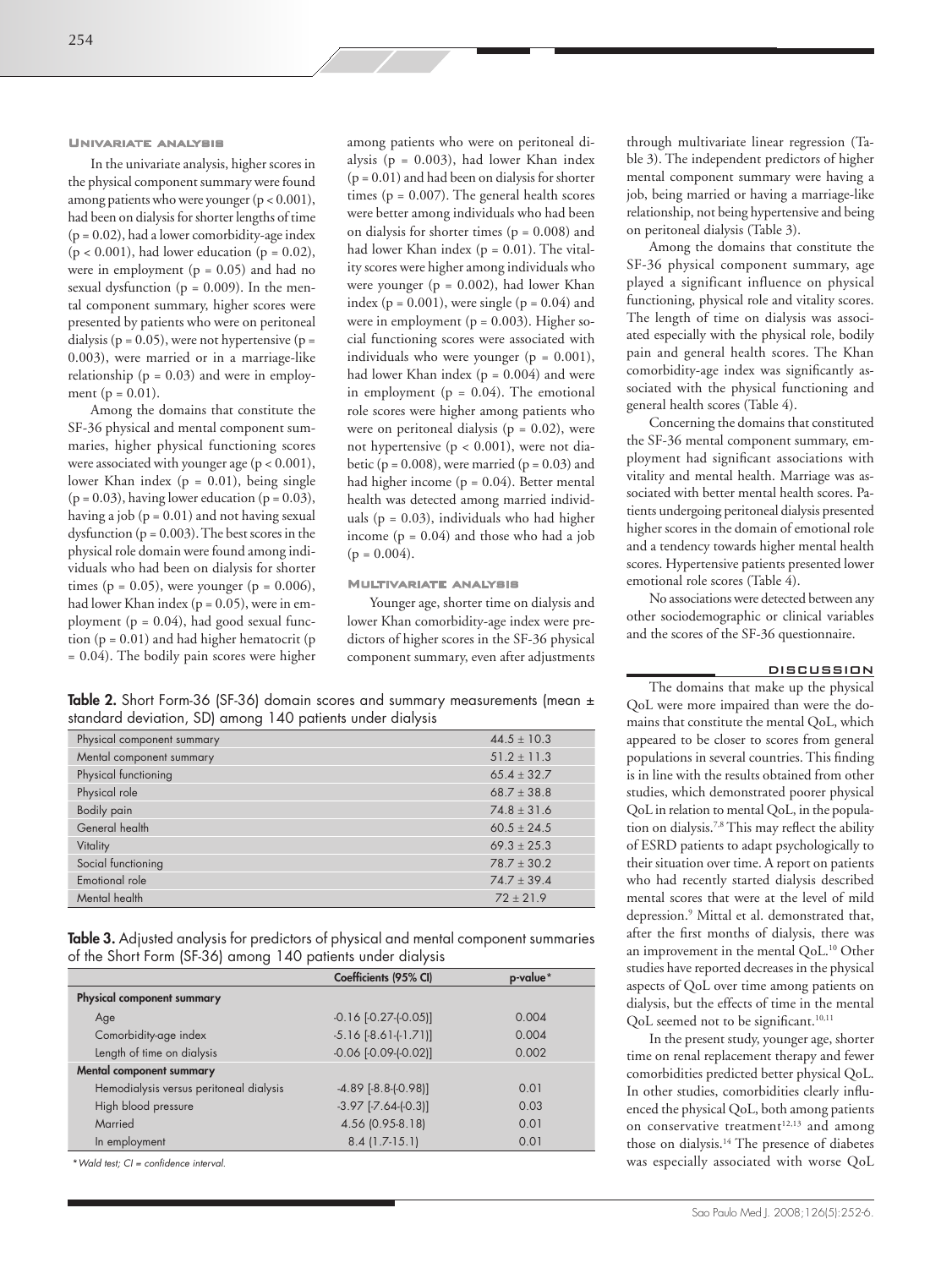### Univariate analysis

In the univariate analysis, higher scores in the physical component summary were found among patients who were younger  $(p < 0.001)$ , had been on dialysis for shorter lengths of time  $(p = 0.02)$ , had a lower comorbidity-age index  $(p < 0.001)$ , had lower education  $(p = 0.02)$ , were in employment ( $p = 0.05$ ) and had no sexual dysfunction ( $p = 0.009$ ). In the mental component summary, higher scores were presented by patients who were on peritoneal dialysis ( $p = 0.05$ ), were not hypertensive ( $p =$ 0.003), were married or in a marriage-like relationship ( $p = 0.03$ ) and were in employment ( $p = 0.01$ ).

Among the domains that constitute the SF-36 physical and mental component summaries, higher physical functioning scores were associated with younger age  $(p < 0.001)$ , lower Khan index ( $p = 0.01$ ), being single  $(p = 0.03)$ , having lower education  $(p = 0.03)$ , having a job ( $p = 0.01$ ) and not having sexual dysfunction ( $p = 0.003$ ). The best scores in the physical role domain were found among individuals who had been on dialysis for shorter times ( $p = 0.05$ ), were younger ( $p = 0.006$ ), had lower Khan index (p = 0.05), were in employment ( $p = 0.04$ ), had good sexual function  $(p = 0.01)$  and had higher hematocrit  $(p$ = 0.04). The bodily pain scores were higher

among patients who were on peritoneal dialysis ( $p = 0.003$ ), had lower Khan index  $(p = 0.01)$  and had been on dialysis for shorter times ( $p = 0.007$ ). The general health scores were better among individuals who had been on dialysis for shorter times ( $p = 0.008$ ) and had lower Khan index  $(p = 0.01)$ . The vitality scores were higher among individuals who were younger ( $p = 0.002$ ), had lower Khan index ( $p = 0.001$ ), were single ( $p = 0.04$ ) and were in employment ( $p = 0.003$ ). Higher social functioning scores were associated with individuals who were younger ( $p = 0.001$ ), had lower Khan index  $(p = 0.004)$  and were in employment ( $p = 0.04$ ). The emotional role scores were higher among patients who were on peritoneal dialysis ( $p = 0.02$ ), were not hypertensive (p < 0.001), were not diabetic ( $p = 0.008$ ), were married ( $p = 0.03$ ) and had higher income  $(p = 0.04)$ . Better mental health was detected among married individuals ( $p = 0.03$ ), individuals who had higher income  $(p = 0.04)$  and those who had a job  $(p = 0.004)$ .

# Multivariate analysis

Younger age, shorter time on dialysis and lower Khan comorbidity-age index were predictors of higher scores in the SF-36 physical component summary, even after adjustments

Table 2. Short Form-36 (SF-36) domain scores and summary measurements (mean ± standard deviation, SD) among 140 patients under dialysis

| Physical component summary | $44.5 + 10.3$ |
|----------------------------|---------------|
| Mental component summary   | $51.2 + 11.3$ |
| Physical functioning       | $65.4 + 32.7$ |
| Physical role              | $68.7 + 38.8$ |
| <b>Bodily pain</b>         | $74.8 + 31.6$ |
| General health             | $60.5 + 24.5$ |
| Vitality                   | $69.3 + 25.3$ |
| Social functioning         | $78.7 + 30.2$ |
| Emotional role             | $74.7 + 39.4$ |
| Mental health              | $72 + 21.9$   |

Table 3. Adjusted analysis for predictors of physical and mental component summaries of the Short Form (SF-36) among 140 patients under dialysis

|                                         | Coefficients (95% CI)       | p-value* |
|-----------------------------------------|-----------------------------|----------|
| Physical component summary              |                             |          |
| Age                                     | $-0.16$ $[-0.27 - (-0.05)]$ | 0.004    |
| Comorbidity-age index                   | $-5.16$ $[-8.61$ $[-1.71]$  | 0.004    |
| Length of time on dialysis              | $-0.06$ $[-0.09 - (-0.02)]$ | 0.002    |
| Mental component summary                |                             |          |
| Hemodialysis versus peritoneal dialysis | $-4.89$ $[-8.8-(0.98)]$     | 0.01     |
| High blood pressure                     | $-3.97$ $[-7.64$ $[-0.3]$ ] | 0.03     |
| Married                                 | 4.56 (0.95-8.18)            | 0.01     |
| In employment                           | $8.4$ (1.7-15.1)            | 0.01     |
|                                         |                             |          |

\**Wald test; CI = confidence interval.*

through multivariate linear regression (Table 3). The independent predictors of higher mental component summary were having a job, being married or having a marriage-like relationship, not being hypertensive and being on peritoneal dialysis (Table 3).

Among the domains that constitute the SF-36 physical component summary, age played a significant influence on physical functioning, physical role and vitality scores. The length of time on dialysis was associated especially with the physical role, bodily pain and general health scores. The Khan comorbidity-age index was significantly associated with the physical functioning and general health scores (Table 4).

Concerning the domains that constituted the SF-36 mental component summary, employment had significant associations with vitality and mental health. Marriage was associated with better mental health scores. Patients undergoing peritoneal dialysis presented higher scores in the domain of emotional role and a tendency towards higher mental health scores. Hypertensive patients presented lower emotional role scores (Table 4).

No associations were detected between any other sociodemographic or clinical variables and the scores of the SF-36 questionnaire.

#### DISCUSSION

The domains that make up the physical QoL were more impaired than were the domains that constitute the mental QoL, which appeared to be closer to scores from general populations in several countries. This finding is in line with the results obtained from other studies, which demonstrated poorer physical QoL in relation to mental QoL, in the population on dialysis.7,8 This may reflect the ability of ESRD patients to adapt psychologically to their situation over time. A report on patients who had recently started dialysis described mental scores that were at the level of mild depression.9 Mittal et al. demonstrated that, after the first months of dialysis, there was an improvement in the mental QoL.10 Other studies have reported decreases in the physical aspects of QoL over time among patients on dialysis, but the effects of time in the mental QoL seemed not to be significant.<sup>10,11</sup>

In the present study, younger age, shorter time on renal replacement therapy and fewer comorbidities predicted better physical QoL. In other studies, comorbidities clearly influenced the physical QoL, both among patients on conservative treatment $12,13$  and among those on dialysis.14 The presence of diabetes was especially associated with worse QoL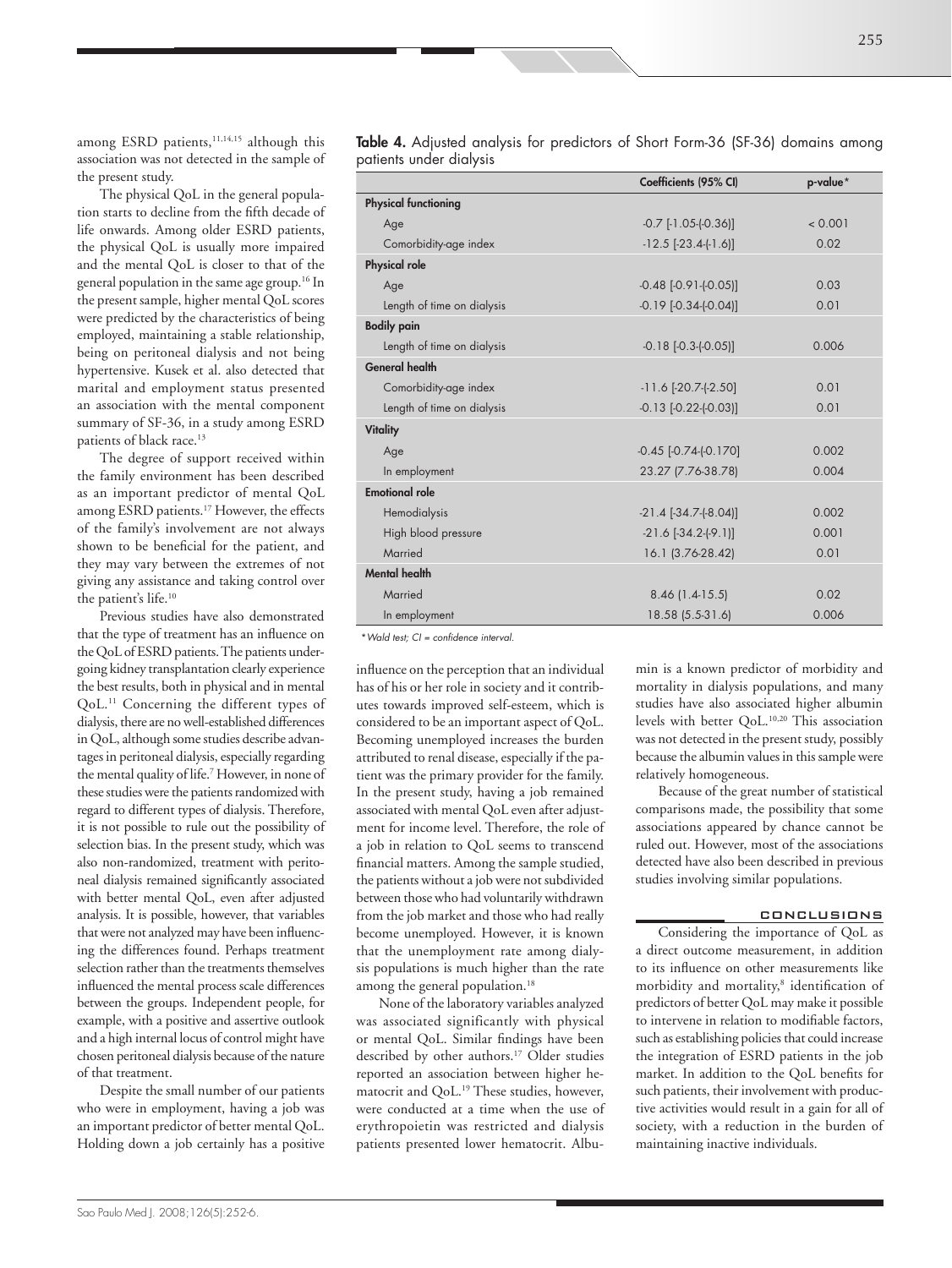among ESRD patients,<sup>11,14,15</sup> although this association was not detected in the sample of the present study.

The physical QoL in the general population starts to decline from the fifth decade of life onwards. Among older ESRD patients, the physical QoL is usually more impaired and the mental QoL is closer to that of the general population in the same age group.16 In the present sample, higher mental QoL scores were predicted by the characteristics of being employed, maintaining a stable relationship, being on peritoneal dialysis and not being hypertensive. Kusek et al. also detected that marital and employment status presented an association with the mental component summary of SF-36, in a study among ESRD patients of black race.<sup>13</sup>

The degree of support received within the family environment has been described as an important predictor of mental QoL among ESRD patients.17 However, the effects of the family's involvement are not always shown to be beneficial for the patient, and they may vary between the extremes of not giving any assistance and taking control over the patient's life.<sup>10</sup>

Previous studies have also demonstrated that the type of treatment has an influence on the QoL of ESRD patients. The patients undergoing kidney transplantation clearly experience the best results, both in physical and in mental QoL.11 Concerning the different types of dialysis, there are no well-established differences in QoL, although some studies describe advantages in peritoneal dialysis, especially regarding the mental quality of life.7 However, in none of these studies were the patients randomized with regard to different types of dialysis. Therefore, it is not possible to rule out the possibility of selection bias. In the present study, which was also non-randomized, treatment with peritoneal dialysis remained significantly associated with better mental QoL, even after adjusted analysis. It is possible, however, that variables that were not analyzed may have been influencing the differences found. Perhaps treatment selection rather than the treatments themselves influenced the mental process scale differences between the groups. Independent people, for example, with a positive and assertive outlook and a high internal locus of control might have chosen peritoneal dialysis because of the nature of that treatment.

Despite the small number of our patients who were in employment, having a job was an important predictor of better mental QoL. Holding down a job certainly has a positive Table 4. Adjusted analysis for predictors of Short Form-36 (SF-36) domains among patients under dialysis

|                             | Coefficients (95% CI)          | p-value* |
|-----------------------------|--------------------------------|----------|
| <b>Physical functioning</b> |                                |          |
| Age                         | $-0.7$ [ $-1.05$ $(-0.36)$ ]   | < 0.001  |
| Comorbidity-age index       | $-12.5$ $[-23.4 -[-1.6)]$      | 0.02     |
| <b>Physical role</b>        |                                |          |
| Age                         | $-0.48$ $[-0.91 - [-0.05]]$    | 0.03     |
| Length of time on dialysis  | $-0.19$ $[-0.34$ $[-0.04]$     | 0.01     |
| <b>Bodily pain</b>          |                                |          |
| Length of time on dialysis  | $-0.18$ $[-0.3-(0.05)]$        | 0.006    |
| <b>General health</b>       |                                |          |
| Comorbidity-age index       | $-11.6$ [ $-20.7$ $-(-2.50)$ ] | 0.01     |
| Length of time on dialysis  | $-0.13$ $[-0.22 - (-0.03)]$    | 0.01     |
| Vitality                    |                                |          |
| Age                         | $-0.45$ $[-0.74$ $[-0.170]$    | 0.002    |
| In employment               | 23.27 (7.76-38.78)             | 0.004    |
| <b>Emotional role</b>       |                                |          |
| Hemodialysis                | $-21.4$ $[-34.7 - [-8.04)]$    | 0.002    |
| High blood pressure         | $-21.6$ $[-34.2 - [-9.1)]$     | 0.001    |
| Married                     | 16.1 (3.76-28.42)              | 0.01     |
| <b>Mental health</b>        |                                |          |
| Married                     | 8.46 (1.4-15.5)                | 0.02     |
| In employment               | 18.58 (5.5-31.6)               | 0.006    |

\**Wald test; CI = confidence interval.*

influence on the perception that an individual has of his or her role in society and it contributes towards improved self-esteem, which is considered to be an important aspect of QoL. Becoming unemployed increases the burden attributed to renal disease, especially if the patient was the primary provider for the family. In the present study, having a job remained associated with mental QoL even after adjustment for income level. Therefore, the role of a job in relation to QoL seems to transcend financial matters. Among the sample studied, the patients without a job were not subdivided between those who had voluntarily withdrawn from the job market and those who had really become unemployed. However, it is known that the unemployment rate among dialysis populations is much higher than the rate among the general population.<sup>18</sup>

None of the laboratory variables analyzed was associated significantly with physical or mental QoL. Similar findings have been described by other authors.17 Older studies reported an association between higher hematocrit and OoL.<sup>19</sup> These studies, however, were conducted at a time when the use of erythropoietin was restricted and dialysis patients presented lower hematocrit. Albumin is a known predictor of morbidity and mortality in dialysis populations, and many studies have also associated higher albumin levels with better QoL.10,20 This association was not detected in the present study, possibly because the albumin values in this sample were relatively homogeneous.

Because of the great number of statistical comparisons made, the possibility that some associations appeared by chance cannot be ruled out. However, most of the associations detected have also been described in previous studies involving similar populations.

# **CONCLUSIONS**

Considering the importance of QoL as a direct outcome measurement, in addition to its influence on other measurements like morbidity and mortality,<sup>8</sup> identification of predictors of better QoL may make it possible to intervene in relation to modifiable factors, such as establishing policies that could increase the integration of ESRD patients in the job market. In addition to the QoL benefits for such patients, their involvement with productive activities would result in a gain for all of society, with a reduction in the burden of maintaining inactive individuals.